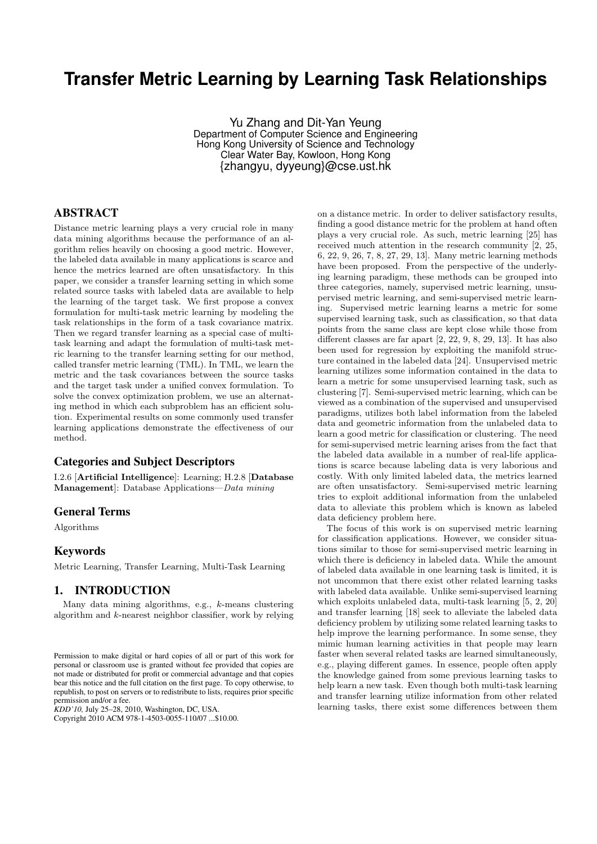# **Transfer Metric Learning by Learning Task Relationships**

Yu Zhang and Dit-Yan Yeung Department of Computer Science and Engineering Hong Kong University of Science and Technology Clear Water Bay, Kowloon, Hong Kong {zhangyu, dyyeung}@cse.ust.hk

## ABSTRACT

Distance metric learning plays a very crucial role in many data mining algorithms because the performance of an algorithm relies heavily on choosing a good metric. However, the labeled data available in many applications is scarce and hence the metrics learned are often unsatisfactory. In this paper, we consider a transfer learning setting in which some related source tasks with labeled data are available to help the learning of the target task. We first propose a convex formulation for multi-task metric learning by modeling the task relationships in the form of a task covariance matrix. Then we regard transfer learning as a special case of multitask learning and adapt the formulation of multi-task metric learning to the transfer learning setting for our method, called transfer metric learning (TML). In TML, we learn the metric and the task covariances between the source tasks and the target task under a unified convex formulation. To solve the convex optimization problem, we use an alternating method in which each subproblem has an efficient solution. Experimental results on some commonly used transfer learning applications demonstrate the effectiveness of our method.

## Categories and Subject Descriptors

I.2.6 [**Artificial Intelligence**]: Learning; H.2.8 [**Database Management**]: Database Applications—*Data mining*

## General Terms

Algorithms

## Keywords

Metric Learning, Transfer Learning, Multi-Task Learning

## 1. INTRODUCTION

Many data mining algorithms, e.g., *k*-means clustering algorithm and *k*-nearest neighbor classifier, work by relying

*KDD'10,* July 25–28, 2010, Washington, DC, USA.

Copyright 2010 ACM 978-1-4503-0055-110/07 ...\$10.00.

on a distance metric. In order to deliver satisfactory results, finding a good distance metric for the problem at hand often plays a very crucial role. As such, metric learning [25] has received much attention in the research community [2, 25, 6, 22, 9, 26, 7, 8, 27, 29, 13]. Many metric learning methods have been proposed. From the perspective of the underlying learning paradigm, these methods can be grouped into three categories, namely, supervised metric learning, unsupervised metric learning, and semi-supervised metric learning. Supervised metric learning learns a metric for some supervised learning task, such as classification, so that data points from the same class are kept close while those from different classes are far apart [2, 22, 9, 8, 29, 13]. It has also been used for regression by exploiting the manifold structure contained in the labeled data [24]. Unsupervised metric learning utilizes some information contained in the data to learn a metric for some unsupervised learning task, such as clustering [7]. Semi-supervised metric learning, which can be viewed as a combination of the supervised and unsupervised paradigms, utilizes both label information from the labeled data and geometric information from the unlabeled data to learn a good metric for classification or clustering. The need for semi-supervised metric learning arises from the fact that the labeled data available in a number of real-life applications is scarce because labeling data is very laborious and costly. With only limited labeled data, the metrics learned are often unsatisfactory. Semi-supervised metric learning tries to exploit additional information from the unlabeled data to alleviate this problem which is known as labeled data deficiency problem here.

The focus of this work is on supervised metric learning for classification applications. However, we consider situations similar to those for semi-supervised metric learning in which there is deficiency in labeled data. While the amount of labeled data available in one learning task is limited, it is not uncommon that there exist other related learning tasks with labeled data available. Unlike semi-supervised learning which exploits unlabeled data, multi-task learning [5, 2, 20] and transfer learning [18] seek to alleviate the labeled data deficiency problem by utilizing some related learning tasks to help improve the learning performance. In some sense, they mimic human learning activities in that people may learn faster when several related tasks are learned simultaneously, e.g., playing different games. In essence, people often apply the knowledge gained from some previous learning tasks to help learn a new task. Even though both multi-task learning and transfer learning utilize information from other related learning tasks, there exist some differences between them

Permission to make digital or hard copies of all or part of this work for personal or classroom use is granted without fee provided that copies are not made or distributed for profit or commercial advantage and that copies bear this notice and the full citation on the first page. To copy otherwise, to republish, to post on servers or to redistribute to lists, requires prior specific permission and/or a fee.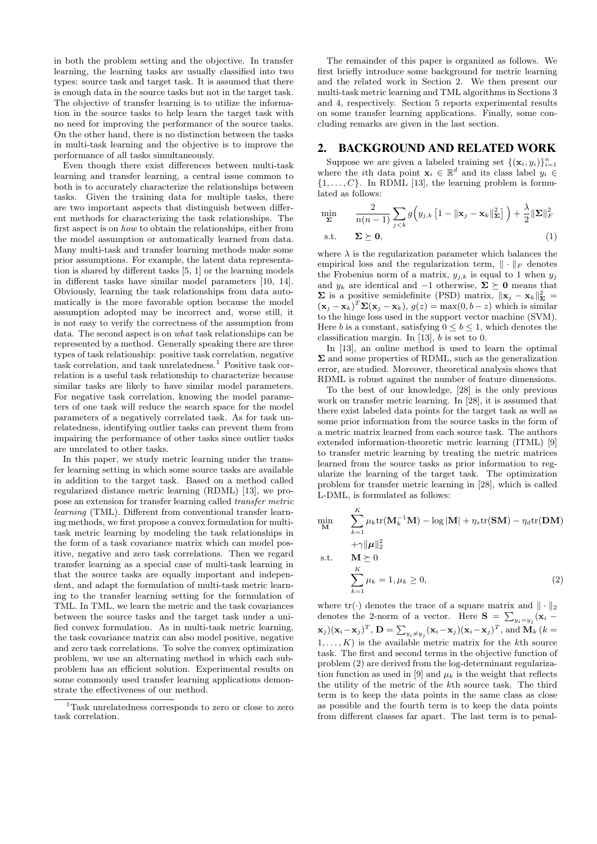in both the problem setting and the objective. In transfer learning, the learning tasks are usually classified into two types: source task and target task. It is assumed that there is enough data in the source tasks but not in the target task. The objective of transfer learning is to utilize the information in the source tasks to help learn the target task with no need for improving the performance of the source tasks. On the other hand, there is no distinction between the tasks in multi-task learning and the objective is to improve the performance of all tasks simultaneously.

Even though there exist differences between multi-task learning and transfer learning, a central issue common to both is to accurately characterize the relationships between tasks. Given the training data for multiple tasks, there are two important aspects that distinguish between different methods for characterizing the task relationships. The first aspect is on *how* to obtain the relationships, either from the model assumption or automatically learned from data. Many multi-task and transfer learning methods make some prior assumptions. For example, the latent data representation is shared by different tasks [5, 1] or the learning models in different tasks have similar model parameters [10, 14]. Obviously, learning the task relationships from data automatically is the more favorable option because the model assumption adopted may be incorrect and, worse still, it is not easy to verify the correctness of the assumption from data. The second aspect is on *what* task relationships can be represented by a method. Generally speaking there are three types of task relationship: positive task correlation, negative task correlation, and task unrelatedness.<sup>1</sup> Positive task correlation is a useful task relationship to characterize because similar tasks are likely to have similar model parameters. For negative task correlation, knowing the model parameters of one task will reduce the search space for the model parameters of a negatively correlated task. As for task unrelatedness, identifying outlier tasks can prevent them from impairing the performance of other tasks since outlier tasks are unrelated to other tasks.

In this paper, we study metric learning under the transfer learning setting in which some source tasks are available in addition to the target task. Based on a method called regularized distance metric learning (RDML) [13], we propose an extension for transfer learning called *transfer metric learning* (TML). Different from conventional transfer learning methods, we first propose a convex formulation for multitask metric learning by modeling the task relationships in the form of a task covariance matrix which can model positive, negative and zero task correlations. Then we regard transfer learning as a special case of multi-task learning in that the source tasks are equally important and independent, and adapt the formulation of multi-task metric learning to the transfer learning setting for the formulation of TML. In TML, we learn the metric and the task covariances between the source tasks and the target task under a unified convex formulation. As in multi-task metric learning, the task covariance matrix can also model positive, negative and zero task correlations. To solve the convex optimization problem, we use an alternating method in which each subproblem has an efficient solution. Experimental results on some commonly used transfer learning applications demonstrate the effectiveness of our method.

The remainder of this paper is organized as follows. We first briefly introduce some background for metric learning and the related work in Section 2. We then present our multi-task metric learning and TML algorithms in Sections 3 and 4, respectively. Section 5 reports experimental results on some transfer learning applications. Finally, some concluding remarks are given in the last section.

## 2. BACKGROUND AND RELATED WORK

Suppose we are given a labeled training set  $\{(\mathbf{x}_i, y_i)\}_{i=1}^n$ where the *i*th data point  $\mathbf{x}_i \in \mathbb{R}^d$  and its class label  $y_i \in$  $\{1, \ldots, C\}$ . In RDML [13], the learning problem is formulated as follows:

$$
\min_{\Sigma} \qquad \frac{2}{n(n-1)} \sum_{j < k} g\left(y_{j,k} \left[1 - \|\mathbf{x}_j - \mathbf{x}_k\|_{\Sigma}^2\right]\right) + \frac{\lambda}{2} \|\mathbf{\Sigma}\|_F^2
$$
\ns.t.

\n
$$
\Sigma \succeq \mathbf{0},\tag{1}
$$

where  $\lambda$  is the regularization parameter which balances the empirical loss and the regularization term,  $\|\cdot\|_F$  denotes the Frobenius norm of a matrix,  $y_{j,k}$  is equal to 1 when  $y_j$ and  $y_k$  are identical and  $-1$  otherwise,  $\Sigma \succeq 0$  means that **Σ** is a positive semidefinite (PSD) matrix,  $||\mathbf{x}_j - \mathbf{x}_k||^2_{\mathbf{\Sigma}}$  $(\mathbf{x}_j - \mathbf{x}_k)^T \mathbf{\Sigma} (\mathbf{x}_j - \mathbf{x}_k), g(z) = \max(0, b - z)$  which is similar to the hinge loss used in the support vector machine (SVM). Here *b* is a constant, satisfying  $0 \leq b \leq 1$ , which denotes the classification margin. In [13], *b* is set to 0.

In [13], an online method is used to learn the optimal **Σ** and some properties of RDML, such as the generalization error, are studied. Moreover, theoretical analysis shows that RDML is robust against the number of feature dimensions.

To the best of our knowledge, [28] is the only previous work on transfer metric learning. In [28], it is assumed that there exist labeled data points for the target task as well as some prior information from the source tasks in the form of a metric matrix learned from each source task. The authors extended information-theoretic metric learning (ITML) [9] to transfer metric learning by treating the metric matrices learned from the source tasks as prior information to regularize the learning of the target task. The optimization problem for transfer metric learning in [28], which is called L-DML, is formulated as follows:

$$
\min_{\mathbf{M}} \sum_{k=1}^{K} \mu_k \text{tr}(\mathbf{M}_k^{-1} \mathbf{M}) - \log |\mathbf{M}| + \eta_s \text{tr}(\mathbf{S} \mathbf{M}) - \eta_d \text{tr}(\mathbf{D} \mathbf{M})
$$
  
+ $\gamma ||\boldsymbol{\mu}||_2^2$   
s.t.  $\mathbf{M} \succeq 0$   
 $\sum_{k=1}^{K} \mu_k = 1, \mu_k \ge 0,$  (2)

where  $tr(\cdot)$  denotes the trace of a square matrix and  $\|\cdot\|_2$ denotes the 2-norm of a vector. Here  $S = \sum_{y_i = y_j} (\mathbf{x}_i - \mathbf{y}_j)$  $(\mathbf{x}_j)(\mathbf{x}_i - \mathbf{x}_j)^T$ ,  $\mathbf{D} = \sum_{y_i \neq y_j} (\mathbf{x}_i - \mathbf{x}_j)(\mathbf{x}_i - \mathbf{x}_j)^T$ , and  $\mathbf{M}_k$   $(k =$  $1, \ldots, K$  is the available metric matrix for the *k*th source task. The first and second terms in the objective function of problem (2) are derived from the log-determinant regularization function as used in [9] and  $\mu_k$  is the weight that reflects the utility of the metric of the *k*th source task. The third term is to keep the data points in the same class as close as possible and the fourth term is to keep the data points from different classes far apart. The last term is to penal-

<sup>&</sup>lt;sup>1</sup>Task unrelatedness corresponds to zero or close to zero task correlation.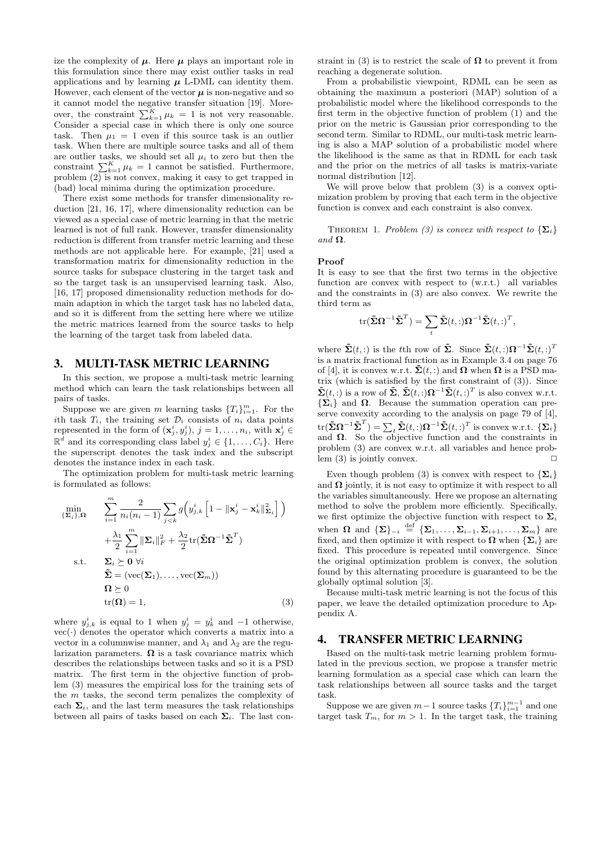ize the complexity of  $\mu$ . Here  $\mu$  plays an important role in this formulation since there may exist outlier tasks in real applications and by learning  $\mu$  L-DML can identity them. However, each element of the vector  $\mu$  is non-negative and so it cannot model the negative transfer situation [19]. Moreover, the constraint  $\sum_{k=1}^{K} \mu_k = 1$  is not very reasonable. Consider a special case in which there is only one source task. Then  $\mu_1 = 1$  even if this source task is an outlier task. When there are multiple source tasks and all of them are outlier tasks, we should set all  $\mu_i$  to zero but then the constraint  $\sum_{k=1}^{K} \mu_k = 1$  cannot be satisfied. Furthermore, problem  $(2)$  is not convex, making it easy to get trapped in (bad) local minima during the optimization procedure.

There exist some methods for transfer dimensionality reduction [21, 16, 17], where dimensionality reduction can be viewed as a special case of metric learning in that the metric learned is not of full rank. However, transfer dimensionality reduction is different from transfer metric learning and these methods are not applicable here. For example, [21] used a transformation matrix for dimensionality reduction in the source tasks for subspace clustering in the target task and so the target task is an unsupervised learning task. Also, [16, 17] proposed dimensionality reduction methods for domain adaption in which the target task has no labeled data, and so it is different from the setting here where we utilize the metric matrices learned from the source tasks to help the learning of the target task from labeled data.

## 3. MULTI-TASK METRIC LEARNING

In this section, we propose a multi-task metric learning method which can learn the task relationships between all pairs of tasks.

Suppose we are given *m* learning tasks  $\{T_i\}_{i=1}^m$ . For the *i*th task  $T_i$ , the training set  $\mathcal{D}_i$  consists of  $n_i$  data points represented in the form of  $(\mathbf{x}_j^i, y_j^i), j = 1, \ldots, n_i$ , with  $\mathbf{x}_j^i \in$  $\mathbb{R}^d$  and its corresponding class label  $y_j^i \in \{1, \ldots, C_i\}$ . Here the superscript denotes the task index and the subscript denotes the instance index in each task.

The optimization problem for multi-task metric learning is formulated as follows:

$$
\min_{\{\Sigma_i\},\Omega} \qquad \sum_{i=1}^m \frac{2}{n_i(n_i-1)} \sum_{j < k} g\left(y_{j,k}^i \left[1 - \|\mathbf{x}_j^i - \mathbf{x}_k^i\|_{\mathbf{\Sigma}_i}^2\right]\right) \\
+ \frac{\lambda_1}{2} \sum_{i=1}^m \|\mathbf{\Sigma}_i\|_F^2 + \frac{\lambda_2}{2} \text{tr}(\tilde{\mathbf{\Sigma}} \Omega^{-1} \tilde{\mathbf{\Sigma}}^T) \\
\text{s.t.} \qquad \mathbf{\Sigma}_i \succeq \mathbf{0} \quad \forall i \\
\tilde{\mathbf{\Sigma}} = (\text{vec}(\mathbf{\Sigma}_1), \dots, \text{vec}(\mathbf{\Sigma}_m)) \\
\Omega \succeq 0 \\
\text{tr}(\Omega) = 1,\n\tag{3}
$$

where  $y_{j,k}^i$  is equal to 1 when  $y_j^i = y_k^i$  and  $-1$  otherwise,  $vec(\cdot)$  denotes the operator which converts a matrix into a vector in a columnwise manner, and  $\lambda_1$  and  $\lambda_2$  are the regularization parameters.  $\Omega$  is a task covariance matrix which describes the relationships between tasks and so it is a PSD matrix. The first term in the objective function of problem (3) measures the empirical loss for the training sets of the *m* tasks, the second term penalizes the complexity of each  $\Sigma_i$ , and the last term measures the task relationships between all pairs of tasks based on each  $\Sigma_i$ . The last constraint in (3) is to restrict the scale of  $\Omega$  to prevent it from reaching a degenerate solution.

From a probabilistic viewpoint, RDML can be seen as obtaining the maximum a posteriori (MAP) solution of a probabilistic model where the likelihood corresponds to the first term in the objective function of problem (1) and the prior on the metric is Gaussian prior corresponding to the second term. Similar to RDML, our multi-task metric learning is also a MAP solution of a probabilistic model where the likelihood is the same as that in RDML for each task and the prior on the metrics of all tasks is matrix-variate normal distribution [12].

We will prove below that problem (3) is a convex optimization problem by proving that each term in the objective function is convex and each constraint is also convex.

THEOREM 1. *Problem (3) is convex with respect to*  $\{\mathbf\Sigma_i\}$ *and* **Ω***.*

#### **Proof**

It is easy to see that the first two terms in the objective function are convex with respect to (w.r.t.) all variables and the constraints in (3) are also convex. We rewrite the third term as

$$
\mathrm{tr}(\tilde{\boldsymbol{\Sigma}}\boldsymbol{\Omega}^{-1}\tilde{\boldsymbol{\Sigma}}^T)=\sum_{t}\tilde{\boldsymbol{\Sigma}}(t,:)\boldsymbol{\Omega}^{-1}\tilde{\boldsymbol{\Sigma}}(t,:)^T,
$$

where  $\tilde{\Sigma}(t,.)$  is the *t*th row of  $\tilde{\Sigma}$ . Since  $\tilde{\Sigma}(t,.)\Omega^{-1}\tilde{\Sigma}(t,.)^T$ is a matrix fractional function as in Example 3.4 on page 76 of [4], it is convex w.r.t.  $\mathbf{\Sigma}(t,.)$  and  $\mathbf{\Omega}$  when  $\mathbf{\Omega}$  is a PSD matrix (which is satisfied by the first constraint of (3)). Since  $\tilde{\mathbf{\Sigma}}(t, :)$  is a row of  $\tilde{\mathbf{\Sigma}}, \ \tilde{\mathbf{\Sigma}}(t, :)\mathbf{\Omega}^{-1}\tilde{\mathbf{\Sigma}}(t, :)^T$  is also convex w.r.t.  ${\Sigma_i}$  and  $\Omega$ . Because the summation operation can preserve convexity according to the analysis on page 79 of [4],  $\text{tr}(\tilde{\boldsymbol{\Sigma}}\boldsymbol{\Omega}^{-1}\tilde{\boldsymbol{\Sigma}}^{T}) = \sum_{t} \tilde{\boldsymbol{\Sigma}}(t,:)\boldsymbol{\Omega}^{-1}\tilde{\boldsymbol{\Sigma}}(t,:)^{T}$  is convex w.r.t.  $\{\boldsymbol{\Sigma}_{i}\}$ and  $\Omega$ . So the objective function and the constraints in problem (3) are convex w.r.t. all variables and hence problem  $(3)$  is jointly convex.  $\Box$ 

Even though problem (3) is convex with respect to  $\{\mathbf\Sigma_i\}$ and  $\Omega$  jointly, it is not easy to optimize it with respect to all the variables simultaneously. Here we propose an alternating method to solve the problem more efficiently. Specifically, we first optimize the objective function with respect to  $\Sigma_i$ when  $\Omega$  and  ${\{\Sigma\}}_{-i} \stackrel{\text{def}}{=} {\{\Sigma_1, \ldots, \Sigma_{i-1}, \Sigma_{i+1}, \ldots, \Sigma_m\}}$  are fixed, and then optimize it with respect to  $\Omega$  when  $\{\Sigma_i\}$  are fixed. This procedure is repeated until convergence. Since the original optimization problem is convex, the solution found by this alternating procedure is guaranteed to be the globally optimal solution [3].

Because multi-task metric learning is not the focus of this paper, we leave the detailed optimization procedure to Appendix A.

## 4. TRANSFER METRIC LEARNING

Based on the multi-task metric learning problem formulated in the previous section, we propose a transfer metric learning formulation as a special case which can learn the task relationships between all source tasks and the target task.

Suppose we are given  $m-1$  source tasks  $\{T_i\}_{i=1}^{m-1}$  and one target task  $T_m$ , for  $m > 1$ . In the target task, the training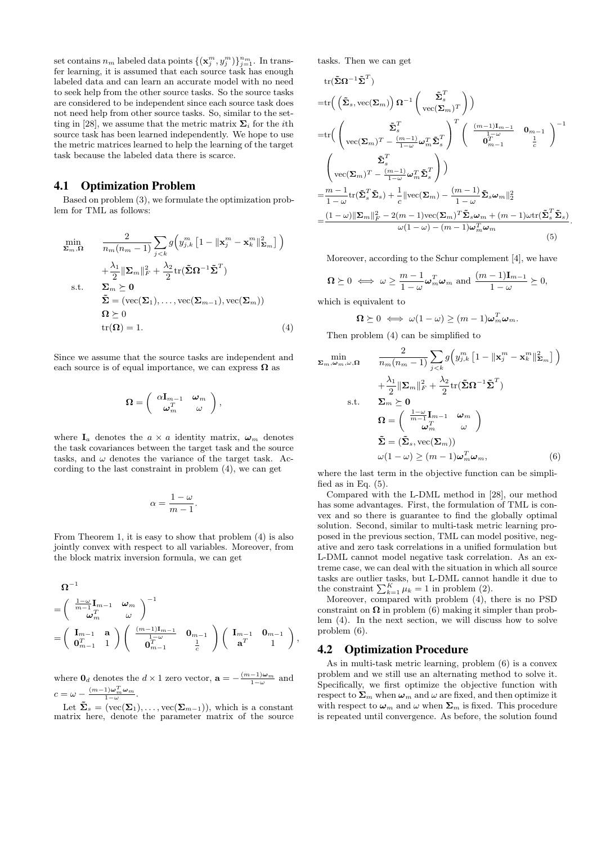set contains  $n_m$  labeled data points  $\{(\mathbf{x}_j^m, y_j^m)\}_{j=1}^{n_m}$ . In transfer learning, it is assumed that each source task has enough labeled data and can learn an accurate model with no need to seek help from the other source tasks. So the source tasks are considered to be independent since each source task does not need help from other source tasks. So, similar to the setting in [28], we assume that the metric matrix  $\Sigma_i$  for the *i*th source task has been learned independently. We hope to use the metric matrices learned to help the learning of the target task because the labeled data there is scarce.

## 4.1 Optimization Problem

Based on problem (3), we formulate the optimization problem for TML as follows:

$$
\min_{\Sigma_m, \Omega} \qquad \frac{2}{n_m (n_m - 1)} \sum_{j < k} g\left(y_{j,k}^m \left[1 - \|\mathbf{x}_j^m - \mathbf{x}_k^m\|_{\Sigma_m}^2\right]\right) \\
+ \frac{\lambda_1}{2} \|\Sigma_m\|_F^2 + \frac{\lambda_2}{2} \text{tr}(\tilde{\Sigma} \Omega^{-1} \tilde{\Sigma}^T) \\
\text{s.t.} \qquad \Sigma_m \succeq \mathbf{0} \\
\tilde{\Sigma} = (\text{vec}(\Sigma_1), \dots, \text{vec}(\Sigma_{m-1}), \text{vec}(\Sigma_m)) \\
\Omega \succeq 0 \\
\text{tr}(\Omega) = 1. \tag{4}
$$

Since we assume that the source tasks are independent and each source is of equal importance, we can express  $\Omega$  as

$$
\boldsymbol{\Omega} = \left( \begin{array}{cc} \alpha \mathbf{I}_{m-1} & \boldsymbol{\omega}_m \\ \boldsymbol{\omega}_m^T & \omega \end{array} \right),
$$

where  $I_a$  denotes the  $a \times a$  identity matrix,  $\omega_m$  denotes the task covariances between the target task and the source tasks, and  $\omega$  denotes the variance of the target task. According to the last constraint in problem (4), we can get

$$
\alpha = \frac{1-\omega}{m-1}
$$

*.*

From Theorem 1, it is easy to show that problem (4) is also jointly convex with respect to all variables. Moreover, from the block matrix inversion formula, we can get

$$
\begin{array}{l}\boldsymbol{\Omega}^{-1}\\\\=\left(\begin{array}{cc} \frac{1-\omega}{m-1}\mathbf{I}_{m-1}&\boldsymbol{\omega}_m\\ \boldsymbol{\omega}_m^T&\omega\end{array}\right)^{-1}\\\\=\left(\begin{array}{cc} \mathbf{I}_{m-1}&\mathbf{a}\\ \mathbf{0}_{m-1}^T&1\end{array}\right)\left(\begin{array}{cc} \frac{(m-1)\mathbf{I}_{m-1}}{1-\omega}&\mathbf{0}_{m-1}\\ \mathbf{0}_{m-1}^T&\frac{1}{c}\end{array}\right)\left(\begin{array}{cc} \mathbf{I}_{m-1}&\mathbf{0}_{m-1}\\ \mathbf{a}^T&1\end{array}\right)\end{array}
$$

where  $\mathbf{0}_d$  denotes the  $d \times 1$  zero vector,  $\mathbf{a} = -\frac{(m-1)\omega_m}{1-\omega}$  and  $c = \omega - \frac{(m-1)\omega_m^T \omega_m}{1-\omega}.$ 

Let  $\tilde{\Sigma}_s = (vec(\Sigma_1), \ldots, vec(\Sigma_{m-1}))$ , which is a constant matrix here, denote the parameter matrix of the source tasks. Then we can get

$$
\begin{split} &\operatorname{tr}(\tilde{\boldsymbol{\Sigma}}\boldsymbol{\Omega}^{-1}\tilde{\boldsymbol{\Sigma}}^{T}) \\ =&\operatorname{tr}\Big(\left(\tilde{\boldsymbol{\Sigma}}_{s},\operatorname{vec}(\boldsymbol{\Sigma}_{m})\right)\boldsymbol{\Omega}^{-1}\begin{pmatrix} \tilde{\boldsymbol{\Sigma}}_{s}^{T} \\ \operatorname{vec}(\boldsymbol{\Sigma}_{m})^{T} \end{pmatrix}\Big) \\ =&\operatorname{tr}\Big(\begin{pmatrix} \tilde{\boldsymbol{\Sigma}}_{s}^{T} \\ \operatorname{vec}(\boldsymbol{\Sigma}_{m})^{T} - \frac{(m-1)}{1-\omega}\boldsymbol{\omega}_{m}^{T}\tilde{\boldsymbol{\Sigma}}_{s}^{T} \end{pmatrix}^{T}\begin{pmatrix} \frac{(m-1)\mathbf{I}_{m-1}}{\mathbf{I}_{m}^{-}\omega} & \mathbf{0}_{m-1} \\ \mathbf{0}_{m-1}^T & \frac{1}{c} \end{pmatrix}^{-1} \\ &\begin{pmatrix} \tilde{\boldsymbol{\Sigma}}_{s}^{T} \\ \operatorname{vec}(\boldsymbol{\Sigma}_{m})^{T} - \frac{(m-1)}{1-\omega}\boldsymbol{\omega}_{m}^{T}\tilde{\boldsymbol{\Sigma}}_{s}^{T} \end{pmatrix}\Big) \\ =&\frac{m-1}{1-\omega}\operatorname{tr}(\tilde{\boldsymbol{\Sigma}}_{s}^{T}\tilde{\boldsymbol{\Sigma}}_{s}) + \frac{1}{c}\|\operatorname{vec}(\boldsymbol{\Sigma}_{m}) - \frac{(m-1)}{1-\omega}\tilde{\boldsymbol{\Sigma}}_{s}\boldsymbol{\omega}_{m}\|_{2}^{2} \\ =&\frac{(1-\omega)\|\boldsymbol{\Sigma}_{m}\|_{F}^{2} - 2(m-1)\operatorname{vec}(\boldsymbol{\Sigma}_{m})^{T}\tilde{\boldsymbol{\Sigma}}_{s}\boldsymbol{\omega}_{m} + (m-1)\omega\operatorname{tr}(\tilde{\boldsymbol{\Sigma}}_{s}^{T}\tilde{\boldsymbol{\Sigma}}_{s})}{\omega(1-\omega) - (m-1)\boldsymbol{\omega}_{m}^{T}\boldsymbol{\omega}_{m}} \end{split} \end{split} \tag{5}
$$

Moreover, according to the Schur complement [4], we have

*.*

$$
\Omega \succeq 0 \iff \omega \ge \frac{m-1}{1-\omega} \omega_m^T \omega_m \text{ and } \frac{(m-1)\mathbf{I}_{m-1}}{1-\omega} \succeq 0,
$$

which is equivalent to

$$
\Omega \succeq 0 \iff \omega(1-\omega) \geq (m-1)\omega_m^T \omega_m.
$$

Then problem (4) can be simplified to

$$
\min_{\Sigma_m,\omega_m,\omega,\Omega} \qquad \frac{2}{n_m(n_m-1)} \sum_{j < k} g\left(y_{j,k}^m \left[1 - \|\mathbf{x}_j^m - \mathbf{x}_k^m\|_{\mathbf{\Sigma}_m}^2\right]\right)
$$
\n
$$
+ \frac{\lambda_1}{2} \|\Sigma_m\|_F^2 + \frac{\lambda_2}{2} \text{tr}(\tilde{\Sigma}\Omega^{-1}\tilde{\Sigma}^T)
$$
\n
$$
\text{s.t.} \qquad \Sigma_m \succeq \mathbf{0}
$$
\n
$$
\Omega = \begin{pmatrix} \frac{1-\omega}{m-1}\mathbf{I}_{m-1} & \omega_m \\ \omega_m^T & \omega \end{pmatrix}
$$
\n
$$
\tilde{\Sigma} = (\tilde{\Sigma}_s, \text{vec}(\Sigma_m))
$$
\n
$$
\omega(1-\omega) \geq (m-1)\omega_m^T \omega_m, \qquad (6)
$$

where the last term in the objective function can be simplified as in Eq.  $(5)$ .

Compared with the L-DML method in [28], our method has some advantages. First, the formulation of TML is convex and so there is guarantee to find the globally optimal solution. Second, similar to multi-task metric learning proposed in the previous section, TML can model positive, negative and zero task correlations in a unified formulation but L-DML cannot model negative task correlation. As an extreme case, we can deal with the situation in which all source tasks are outlier tasks, but L-DML cannot handle it due to the constraint  $\sum_{k=1}^{K} \mu_k = 1$  in problem (2).

Moreover, compared with problem  $(4)$ , there is no PSD constraint on  $\Omega$  in problem (6) making it simpler than problem (4). In the next section, we will discuss how to solve problem (6).

## 4.2 Optimization Procedure

*,*

As in multi-task metric learning, problem (6) is a convex problem and we still use an alternating method to solve it. Specifically, we first optimize the objective function with respect to  $\Sigma_m$  when  $\omega_m$  and  $\omega$  are fixed, and then optimize it with respect to  $\boldsymbol{\omega}_m$  and  $\boldsymbol{\omega}$  when  $\boldsymbol{\Sigma}_m$  is fixed. This procedure is repeated until convergence. As before, the solution found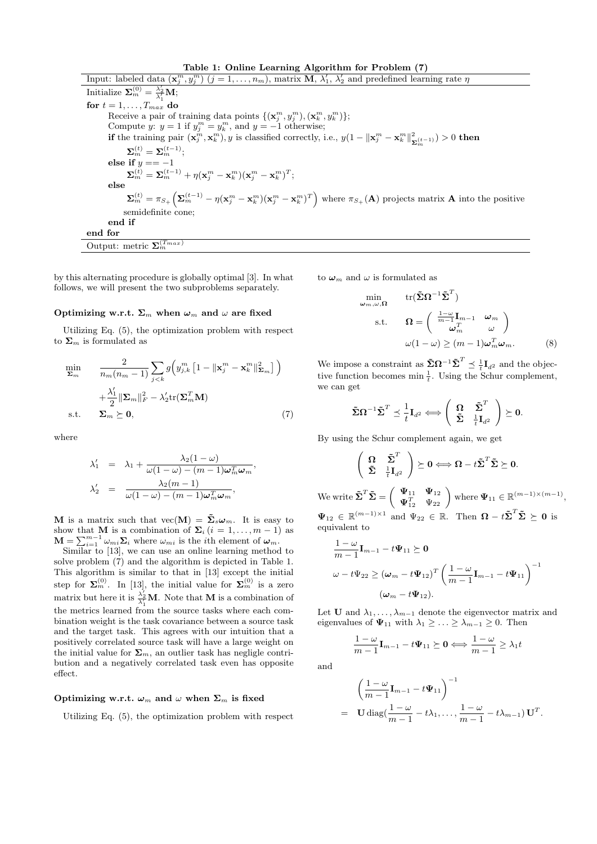**Table 1: Online Learning Algorithm for Problem (7)**

Input: labeled data  $(\mathbf{x}_j^m, y_j^m)$   $(j = 1, \ldots, n_m)$ , matrix **M**,  $\lambda'_1$ ,  $\lambda'_2$  and predefined learning rate  $\eta$ Initialize  $\Sigma_m^{(0)} = \frac{\lambda_2'}{\lambda_1'} M;$  ${\bf for}~~t=1,\ldots,T_{max}$   $\overset{\mathcal{A}_1}{\bf do}$ Receive a pair of training data points  $\{(\mathbf{x}_j^m, y_j^m), (\mathbf{x}_k^m, y_k^m)\};$ Compute *y*:  $y = 1$  if  $y_j^m = y_k^m$ , and  $y = -1$  otherwise; if the training pair  $(\mathbf{x}_j^m, \mathbf{x}_k^m)$ , y is classified correctly, i.e.,  $y(1 - ||\mathbf{x}_j^m - \mathbf{x}_k^m||^2)$  $\left(\frac{2}{\mathbf{\Sigma}_m^{(t-1)}}\right) > 0$  then  $\mathbf{\Sigma}_m^{(t)} = \mathbf{\Sigma}_m^{(t-1)};$ **else if** *y* == *−*1  $\mathbf{\Sigma}_m^{(t)} = \mathbf{\Sigma}_m^{(t-1)} + \eta (\mathbf{x}_j^m - \mathbf{x}_k^m) (\mathbf{x}_j^m - \mathbf{x}_k^m)^T;$ **else**  $\Sigma_m^{(t)} = \pi_{S_+} \left( \Sigma_m^{(t-1)} - \eta (\mathbf{x}_j^m - \mathbf{x}_k^m)(\mathbf{x}_j^m - \mathbf{x}_k^m)^T \right)$  where  $\pi_{S_+}(\mathbf{A})$  projects matrix **A** into the positive semidefinite cone; **end if end for** Output: metric **Σ** (*Tmax*) *m*

by this alternating procedure is globally optimal [3]. In what follows, we will present the two subproblems separately.

## Optimizing w.r.t.  $\Sigma_m$  when  $\omega_m$  and  $\omega$  are fixed

Utilizing Eq. (5), the optimization problem with respect to  $\Sigma_m$  is formulated as

$$
\min_{\Sigma_m} \qquad \frac{2}{n_m(n_m-1)} \sum_{j < k} g\left(y_{j,k}^m \left[1 - \|\mathbf{x}_j^m - \mathbf{x}_k^m\|_{\mathbf{\Sigma}_m}^2\right]\right) \\
+ \frac{\lambda_1'}{2} \|\mathbf{\Sigma}_m\|_F^2 - \lambda_2' \text{tr}(\mathbf{\Sigma}_m^T \mathbf{M}) \\
\text{s.t.} \qquad \mathbf{\Sigma}_m \succeq \mathbf{0}, \tag{7}
$$

where

$$
\lambda'_1 = \lambda_1 + \frac{\lambda_2(1-\omega)}{\omega(1-\omega) - (m-1)\omega_m^T\omega_m},
$$
  

$$
\lambda'_2 = \frac{\lambda_2(m-1)}{\omega(1-\omega) - (m-1)\omega_m^T\omega_m},
$$

**M** is a matrix such that  $\text{vec}(\mathbf{M}) = \tilde{\boldsymbol{\Sigma}}_s \boldsymbol{\omega}_m$ . It is easy to show that **M** is a combination of  $\Sigma_i$  ( $i = 1, \ldots, m-1$ ) as  $\mathbf{M} = \sum_{i=1}^{m-1} \omega_{mi} \mathbf{\Sigma}_i$  where  $\omega_{mi}$  is the *i*<sup>th</sup> element of  $\boldsymbol{\omega}_m$ .

Similar to [13], we can use an online learning method to solve problem (7) and the algorithm is depicted in Table 1. This algorithm is similar to that in [13] except the initial step for  $\Sigma_m^{(0)}$ . In [13], the initial value for  $\Sigma_m^{(0)}$  is a zero matrix but here it is  $\frac{\lambda_2'}{\lambda_1'}\mathbf{M}$ . Note that **M** is a combination of the metrics learned from the source tasks where each combination weight is the task covariance between a source task and the target task. This agrees with our intuition that a positively correlated source task will have a large weight on the initial value for  $\Sigma_m$ , an outlier task has negligle contribution and a negatively correlated task even has opposite effect.

#### **Optimizing w.r.t.**  $\omega_m$  and  $\omega$  when  $\Sigma_m$  is fixed

Utilizing Eq. (5), the optimization problem with respect

to  $\omega_m$  and  $\omega$  is formulated as

$$
\min_{\omega_m,\omega,\Omega} \text{tr}(\tilde{\Sigma}\Omega^{-1}\tilde{\Sigma}^T)
$$
\n
$$
\text{s.t.} \qquad \Omega = \begin{pmatrix} \frac{1-\omega}{m-1}\mathbf{I}_{m-1} & \omega_m \\ \omega_m^T & \omega \end{pmatrix}
$$
\n
$$
\omega(1-\omega) \ge (m-1)\omega_m^T\omega_m. \tag{8}
$$

We impose a constraint as  $\tilde{\Sigma} \Omega^{-1} \tilde{\Sigma}^T \preceq \frac{1}{t} \mathbf{I}_{d^2}$  and the objective function becomes  $\min \frac{1}{t}$ . Using the Schur complement, we can get

$$
\tilde{\boldsymbol{\Sigma}}\boldsymbol{\Omega}^{-1}\tilde{\boldsymbol{\Sigma}}^T \preceq \frac{1}{t}\mathbf{I}_{d^2} \Longleftrightarrow \left(\begin{array}{cc} \boldsymbol{\Omega} & \tilde{\boldsymbol{\Sigma}}^T \\ \tilde{\boldsymbol{\Sigma}} & \frac{1}{t}\mathbf{I}_{d^2} \end{array}\right) \succeq \mathbf{0}.
$$

By using the Schur complement again, we get

$$
\left(\begin{array}{cc} \Omega & \tilde{\Sigma}^T \\ \tilde{\Sigma} & \frac{1}{t}I_{d^2} \end{array}\right) \succeq 0 \Longleftrightarrow \Omega - t\tilde{\Sigma}^T\tilde{\Sigma} \succeq 0.
$$

 $\mathbf{W}$ e write  $\tilde{\mathbf{\Sigma}}^T \tilde{\mathbf{\Sigma}} = \begin{pmatrix} \Psi_{11} & \Psi_{12} \\ \mathbf{F}^T & \mathbf{F} \end{pmatrix}$  $\Psi_{11}$   $\Psi_{12}$   $\Psi_{22}$  where  $\Psi_{11} \in \mathbb{R}^{(m-1)\times(m-1)}$ ,  $\Psi_{12}$  ∈ R<sup>(*m*−1)×1</sup> and  $\Psi_{22}$  ∈ R. Then  $\Omega$  −  $t\tilde{\Sigma}^T\tilde{\Sigma} \succeq 0$  is equivalent to

$$
\begin{aligned}\n\frac{1-\omega}{m-1}\mathbf{I}_{m-1} - t\mathbf{\Psi}_{11} &\geq \mathbf{0} \\
\omega - t\mathbf{\Psi}_{22} &\geq (\boldsymbol{\omega}_m - t\mathbf{\Psi}_{12})^T \left(\frac{1-\omega}{m-1}\mathbf{I}_{m-1} - t\mathbf{\Psi}_{11}\right)^{-1} \\
(\boldsymbol{\omega}_m - t\mathbf{\Psi}_{12}).\n\end{aligned}
$$

Let **U** and  $\lambda_1, \ldots, \lambda_{m-1}$  denote the eigenvector matrix and eigenvalues of  $\Psi_{11}$  with  $\lambda_1 \geq \ldots \geq \lambda_{m-1} \geq 0$ . Then

> $1 - \omega$  $\frac{1-\omega}{m-1}\mathbf{I}_{m-1}-t\mathbf{\Psi}_{11}\succeq\mathbf{0}\Longleftrightarrow\frac{1-\omega}{m-1}$  $\frac{1}{m-1}$  ≥  $\lambda_1 t$

and

$$
\left(\frac{1-\omega}{m-1}\mathbf{I}_{m-1}-t\mathbf{\Psi}_{11}\right)^{-1}
$$
\n
$$
=\mathbf{U}\operatorname{diag}\left(\frac{1-\omega}{m-1}-t\lambda_1,\ldots,\frac{1-\omega}{m-1}-t\lambda_{m-1}\right)\mathbf{U}^T.
$$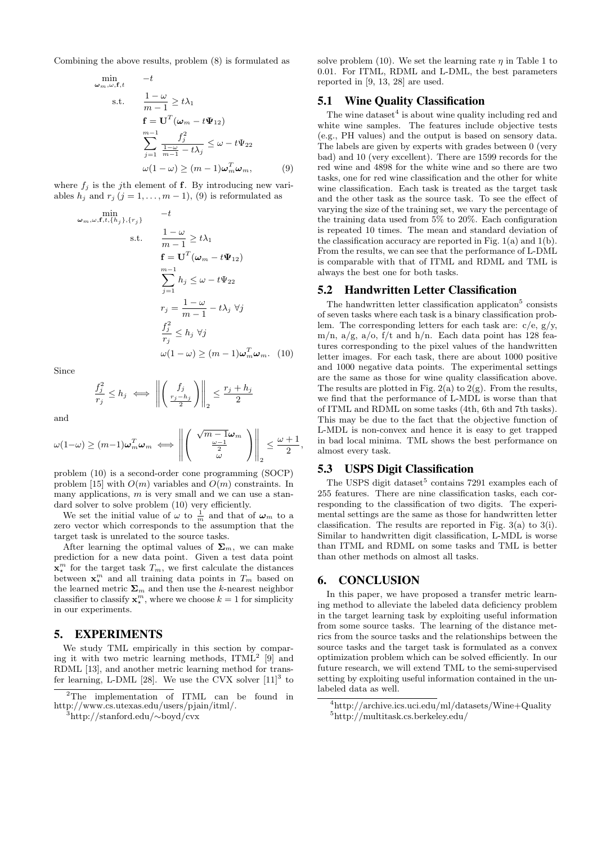Combining the above results, problem (8) is formulated as

$$
\min_{\omega_{m}, \omega, \mathbf{f}, t} \qquad -t
$$
\n
$$
\text{s.t.} \qquad \frac{1 - \omega}{m - 1} \geq t\lambda_1
$$
\n
$$
\mathbf{f} = \mathbf{U}^T(\omega_m - t\mathbf{\Psi}_{12})
$$
\n
$$
\sum_{j=1}^{m-1} \frac{f_j^2}{\frac{1 - \omega}{m - 1} - t\lambda_j} \leq \omega - t\mathbf{\Psi}_{22}
$$
\n
$$
\omega(1 - \omega) \geq (m - 1)\omega_m^T \omega_m, \qquad (9)
$$

where  $f_i$  is the *j*th element of **f**. By introducing new variables  $h_j$  and  $r_j$  ( $j = 1, \ldots, m-1$ ), (9) is reformulated as

$$
\min_{\omega_m, \omega, \mathbf{f}, t, \{h_j\}, \{r_j\}} \quad -t
$$
\ns.t. 
$$
\frac{1-\omega}{m-1} \ge t\lambda_1
$$
\n
$$
\mathbf{f} = \mathbf{U}^T(\omega_m - t\mathbf{\Psi}_{12})
$$
\n
$$
\sum_{j=1}^{m-1} h_j \le \omega - t\mathbf{\Psi}_{22}
$$
\n
$$
r_j = \frac{1-\omega}{m-1} - t\lambda_j \ \forall j
$$
\n
$$
\frac{f_j^2}{r_j} \le h_j \ \forall j
$$
\n
$$
\omega(1-\omega) \ge (m-1)\omega_m^T \omega_m. \quad (10)
$$

Since

*f*

$$
\frac{f_j^2}{r_j} \le h_j \iff \left\| \left( \frac{f_j}{\frac{r_j - h_j}{2}} \right) \right\|_2 \le \frac{r_j + h_j}{2}
$$

and

$$
\omega(1-\omega) \ge (m-1)\omega_m^T \omega_m \iff \left\| \left( \begin{array}{c} \sqrt{m-1}\omega_m \\ \frac{\omega-1}{2} \\ \omega \end{array} \right) \right\|_2 \le \frac{\omega+1}{2},
$$

problem (10) is a second-order cone programming (SOCP) problem [15] with  $O(m)$  variables and  $O(m)$  constraints. In many applications, *m* is very small and we can use a standard solver to solve problem  $(10)$  very efficiently.

We set the initial value of  $\omega$  to  $\frac{1}{m}$  and that of  $\omega_m$  to a zero vector which corresponds to the assumption that the target task is unrelated to the source tasks.

After learning the optimal values of  $\Sigma_m$ , we can make prediction for a new data point. Given a test data point  $\mathbf{x}_{\star}^{m}$  for the target task  $T_m$ , we first calculate the distances between  $\mathbf{x}_{\star}^{m}$  and all training data points in  $T_{m}$  based on the learned metric  $\Sigma_m$  and then use the *k*-nearest neighbor classifier to classify  $\mathbf{x}_{\star}^{m}$ , where we choose  $k = 1$  for simplicity in our experiments.

## 5. EXPERIMENTS

We study TML empirically in this section by comparing it with two metric learning methods,  $ITML<sup>2</sup>$  [9] and RDML [13], and another metric learning method for transfer learning, L-DML  $[28]$ . We use the CVX solver  $[11]$ <sup>3</sup> to

solve problem (10). We set the learning rate  $\eta$  in Table 1 to 0.01. For ITML, RDML and L-DML, the best parameters reported in [9, 13, 28] are used.

## 5.1 Wine Quality Classification

The wine dataset<sup>4</sup> is about wine quality including red and white wine samples. The features include objective tests (e.g., PH values) and the output is based on sensory data. The labels are given by experts with grades between 0 (very bad) and 10 (very excellent). There are 1599 records for the red wine and 4898 for the white wine and so there are two tasks, one for red wine classification and the other for white wine classification. Each task is treated as the target task and the other task as the source task. To see the effect of varying the size of the training set, we vary the percentage of the training data used from 5% to 20%. Each configuration is repeated 10 times. The mean and standard deviation of the classification accuracy are reported in Fig. 1(a) and 1(b). From the results, we can see that the performance of L-DML is comparable with that of ITML and RDML and TML is always the best one for both tasks.

## 5.2 Handwritten Letter Classification

The handwritten letter classification applicaton<sup>5</sup> consists of seven tasks where each task is a binary classification problem. The corresponding letters for each task are:  $c/e$ ,  $g/y$ , m/n,  $a/g$ ,  $a/o$ ,  $f/t$  and  $h/n$ . Each data point has 128 features corresponding to the pixel values of the handwritten letter images. For each task, there are about 1000 positive and 1000 negative data points. The experimental settings are the same as those for wine quality classification above. The results are plotted in Fig.  $2(a)$  to  $2(g)$ . From the results, we find that the performance of L-MDL is worse than that of ITML and RDML on some tasks (4th, 6th and 7th tasks). This may be due to the fact that the objective function of L-MDL is non-convex and hence it is easy to get trapped in bad local minima. TML shows the best performance on almost every task.

## 5.3 USPS Digit Classification

The USPS digit dataset<sup>5</sup> contains 7291 examples each of 255 features. There are nine classification tasks, each corresponding to the classification of two digits. The experimental settings are the same as those for handwritten letter classification. The results are reported in Fig. 3(a) to 3(i). Similar to handwritten digit classification, L-MDL is worse than ITML and RDML on some tasks and TML is better than other methods on almost all tasks.

## 6. CONCLUSION

In this paper, we have proposed a transfer metric learning method to alleviate the labeled data deficiency problem in the target learning task by exploiting useful information from some source tasks. The learning of the distance metrics from the source tasks and the relationships between the source tasks and the target task is formulated as a convex optimization problem which can be solved efficiently. In our future research, we will extend TML to the semi-supervised setting by exploiting useful information contained in the unlabeled data as well.

<sup>&</sup>lt;sup>2</sup>The implementation of ITML can be found in http://www.cs.utexas.edu/users/pjain/itml/.

<sup>3</sup>http://stanford.edu/*∼*boyd/cvx

<sup>4</sup>http://archive.ics.uci.edu/ml/datasets/Wine+Quality <sup>5</sup>http://multitask.cs.berkeley.edu/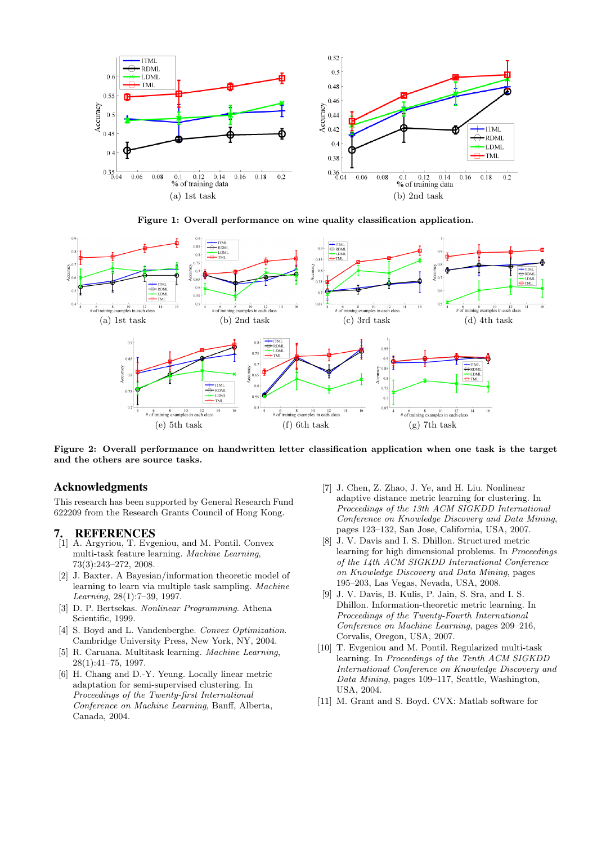

**Figure 1: Overall performance on wine quality classification application.**



**Figure 2: Overall performance on handwritten letter classification application when one task is the target and the others are source tasks.**

## Acknowledgments

This research has been supported by General Research Fund 622209 from the Research Grants Council of Hong Kong.

## **REFERENCES**

- [1] A. Argyriou, T. Evgeniou, and M. Pontil. Convex multi-task feature learning. *Machine Learning*, 73(3):243–272, 2008.
- [2] J. Baxter. A Bayesian/information theoretic model of learning to learn via multiple task sampling. *Machine Learning*, 28(1):7–39, 1997.
- [3] D. P. Bertsekas. *Nonlinear Programming*. Athena Scientific, 1999.
- [4] S. Boyd and L. Vandenberghe. *Convex Optimization*. Cambridge University Press, New York, NY, 2004.
- [5] R. Caruana. Multitask learning. *Machine Learning*, 28(1):41–75, 1997.
- [6] H. Chang and D.-Y. Yeung. Locally linear metric adaptation for semi-supervised clustering. In *Proceedings of the Twenty-first International Conference on Machine Learning*, Banff, Alberta, Canada, 2004.
- [7] J. Chen, Z. Zhao, J. Ye, and H. Liu. Nonlinear adaptive distance metric learning for clustering. In *Proceedings of the 13th ACM SIGKDD International Conference on Knowledge Discovery and Data Mining*, pages 123–132, San Jose, California, USA, 2007.
- [8] J. V. Davis and I. S. Dhillon. Structured metric learning for high dimensional problems. In *Proceedings of the 14th ACM SIGKDD International Conference on Knowledge Discovery and Data Mining*, pages 195–203, Las Vegas, Nevada, USA, 2008.
- [9] J. V. Davis, B. Kulis, P. Jain, S. Sra, and I. S. Dhillon. Information-theoretic metric learning. In *Proceedings of the Twenty-Fourth International Conference on Machine Learning*, pages 209–216, Corvalis, Oregon, USA, 2007.
- [10] T. Evgeniou and M. Pontil. Regularized multi-task learning. In *Proceedings of the Tenth ACM SIGKDD International Conference on Knowledge Discovery and Data Mining*, pages 109–117, Seattle, Washington, USA, 2004.
- [11] M. Grant and S. Boyd. CVX: Matlab software for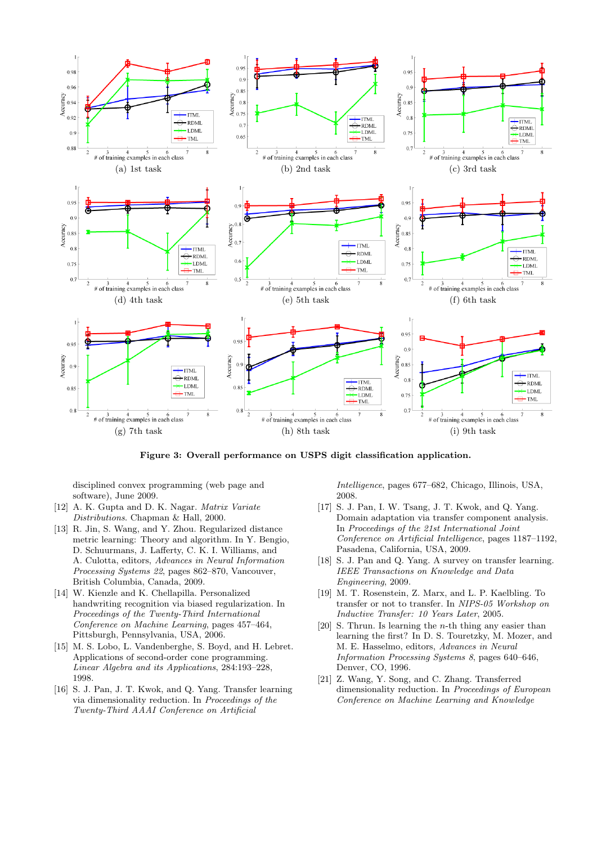

**Figure 3: Overall performance on USPS digit classification application.**

disciplined convex programming (web page and software), June 2009.

- [12] A. K. Gupta and D. K. Nagar. *Matrix Variate Distributions*. Chapman & Hall, 2000.
- [13] R. Jin, S. Wang, and Y. Zhou. Regularized distance metric learning: Theory and algorithm. In Y. Bengio, D. Schuurmans, J. Lafferty, C. K. I. Williams, and A. Culotta, editors, *Advances in Neural Information Processing Systems 22*, pages 862–870, Vancouver, British Columbia, Canada, 2009.
- [14] W. Kienzle and K. Chellapilla. Personalized handwriting recognition via biased regularization. In *Proceedings of the Twenty-Third International Conference on Machine Learning*, pages 457–464, Pittsburgh, Pennsylvania, USA, 2006.
- [15] M. S. Lobo, L. Vandenberghe, S. Boyd, and H. Lebret. Applications of second-order cone programming. *Linear Algebra and its Applications*, 284:193–228, 1998.
- [16] S. J. Pan, J. T. Kwok, and Q. Yang. Transfer learning via dimensionality reduction. In *Proceedings of the Twenty-Third AAAI Conference on Artificial*

*Intelligence*, pages 677–682, Chicago, Illinois, USA, 2008.

- [17] S. J. Pan, I. W. Tsang, J. T. Kwok, and Q. Yang. Domain adaptation via transfer component analysis. In *Proceedings of the 21st International Joint Conference on Artificial Intelligence*, pages 1187–1192, Pasadena, California, USA, 2009.
- [18] S. J. Pan and Q. Yang. A survey on transfer learning. *IEEE Transactions on Knowledge and Data Engineering*, 2009.
- [19] M. T. Rosenstein, Z. Marx, and L. P. Kaelbling. To transfer or not to transfer. In *NIPS-05 Workshop on Inductive Transfer: 10 Years Later*, 2005.
- [20] S. Thrun. Is learning the *n*-th thing any easier than learning the first? In D. S. Touretzky, M. Mozer, and M. E. Hasselmo, editors, *Advances in Neural Information Processing Systems 8*, pages 640–646, Denver, CO, 1996.
- [21] Z. Wang, Y. Song, and C. Zhang. Transferred dimensionality reduction. In *Proceedings of European Conference on Machine Learning and Knowledge*